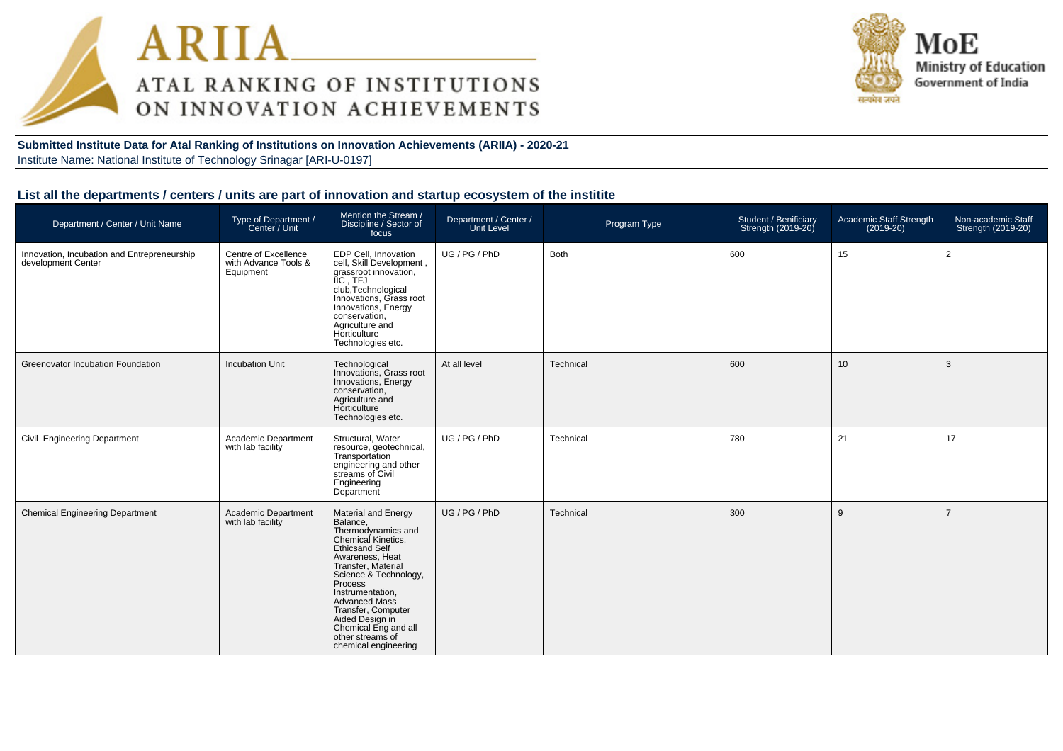



**Submitted Institute Data for Atal Ranking of Institutions on Innovation Achievements (ARIIA) - 2020-21**Institute Name: National Institute of Technology Srinagar [ARI-U-0197]

## **List all the departments / centers / units are part of innovation and startup ecosystem of the institite**

| Department / Center / Unit Name                                   | Type of Department /<br>Center / Unit                     | Mention the Stream /<br>Discipline / Sector of<br>focus                                                                                                                                                                                                                                                                                           | Department / Center /<br>Unit Level | Program Type | Student / Benificiary<br>Strength (2019-20) | Academic Staff Strength<br>$(2019-20)$ | Non-academic Staff<br>Strength (2019-20) |
|-------------------------------------------------------------------|-----------------------------------------------------------|---------------------------------------------------------------------------------------------------------------------------------------------------------------------------------------------------------------------------------------------------------------------------------------------------------------------------------------------------|-------------------------------------|--------------|---------------------------------------------|----------------------------------------|------------------------------------------|
| Innovation, Incubation and Entrepreneurship<br>development Center | Centre of Excellence<br>with Advance Tools &<br>Equipment | EDP Cell, Innovation<br>cell, Skill Development,<br>grassroot innovation,<br>IIC . TFJ<br>club, Technological<br>Innovations, Grass root<br>Innovations, Energy<br>conservation,<br>Agriculture and<br>Horticulture<br>Technologies etc.                                                                                                          | UG / PG / PhD                       | Both         | 600                                         | 15                                     | $\overline{2}$                           |
| Greenovator Incubation Foundation                                 | <b>Incubation Unit</b>                                    | Technological<br>Innovations, Grass root<br>Innovations, Energy<br>conservation,<br>Agriculture and<br>Horticulture<br>Technologies etc.                                                                                                                                                                                                          | At all level                        | Technical    | 600                                         | 10 <sup>°</sup>                        | 3                                        |
| Civil Engineering Department                                      | Academic Department<br>with lab facility                  | Structural, Water<br>resource, geotechnical,<br>Transportation<br>engineering and other<br>streams of Civil<br>Engineering<br>Department                                                                                                                                                                                                          | UG / PG / PhD                       | Technical    | 780                                         | 21                                     | 17                                       |
| <b>Chemical Engineering Department</b>                            | Academic Department<br>with lab facility                  | <b>Material and Energy</b><br>Balance,<br>Thermodynamics and<br>Chemical Kinetics,<br><b>Ethicsand Self</b><br>Awareness, Heat<br>Transfer, Material<br>Science & Technology,<br>Process<br>Instrumentation,<br><b>Advanced Mass</b><br>Transfer, Computer<br>Aided Design in<br>Chemical Eng and all<br>other streams of<br>chemical engineering | UG / PG / PhD                       | Technical    | 300                                         | 9                                      | $\overline{7}$                           |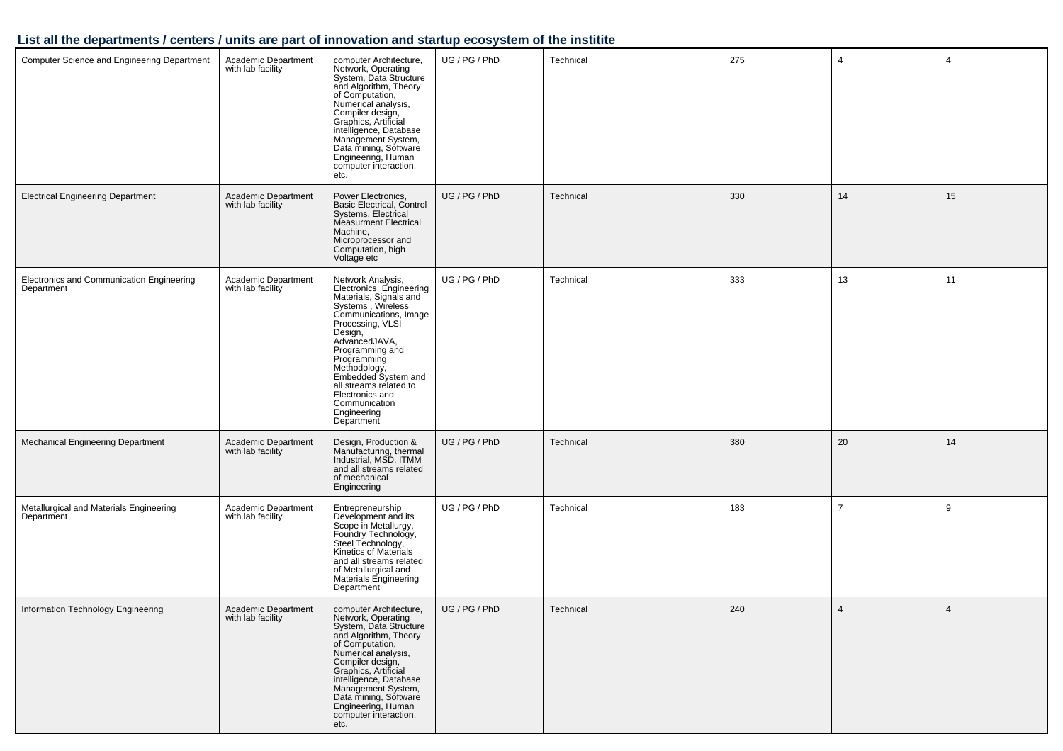## **List all the departments / centers / units are part of innovation and startup ecosystem of the institite**

| <b>Computer Science and Engineering Department</b>      | Academic Department<br>with lab facility | computer Architecture,<br>Network, Operating<br>System, Data Structure<br>and Algorithm, Theory<br>of Computation,<br>Numerical analysis,<br>Compiler design,<br>Graphics, Artificial<br>intelligence, Database<br>Management System,<br>Data mining, Software<br>Engineering, Human<br>computer interaction,<br>etc.                     | UG / PG / PhD | Technical | 275 | $\overline{4}$ | $\overline{4}$ |
|---------------------------------------------------------|------------------------------------------|-------------------------------------------------------------------------------------------------------------------------------------------------------------------------------------------------------------------------------------------------------------------------------------------------------------------------------------------|---------------|-----------|-----|----------------|----------------|
| <b>Electrical Engineering Department</b>                | Academic Department<br>with lab facility | Power Electronics,<br><b>Basic Electrical, Control</b><br>Systems, Electrical<br>Measurment Electrical<br>Machine,<br>Microprocessor and<br>Computation, high<br>Voltage etc                                                                                                                                                              | UG / PG / PhD | Technical | 330 | 14             | 15             |
| Electronics and Communication Engineering<br>Department | Academic Department<br>with lab facility | Network Analysis,<br>Electronics Engineering<br>Materials, Signals and<br>Systems , Wireless<br>Communications, Image<br>Processing, VLSI<br>Design,<br>AdvancedJAVA,<br>Programming and<br>Programming<br>Methodology,<br>Embedded System and<br>all streams related to<br>Electronics and<br>Communication<br>Engineering<br>Department | UG / PG / PhD | Technical | 333 | 13             | 11             |
| Mechanical Engineering Department                       | Academic Department<br>with lab facility | Design, Production &<br>Manufacturing, thermal<br>Industrial, MSD, ITMM<br>and all streams related<br>of mechanical<br>Engineering                                                                                                                                                                                                        | UG / PG / PhD | Technical | 380 | 20             | 14             |
| Metallurgical and Materials Engineering<br>Department   | Academic Department<br>with lab facility | Entrepreneurship<br>Development and its<br>Scope in Metallurgy,<br>Foundry Technology,<br>Steel Technology,<br>Kinetics of Materials<br>and all streams related<br>of Metallurgical and<br>Materials Engineering<br>Department                                                                                                            | UG / PG / PhD | Technical | 183 | $\overline{7}$ | 9              |
| Information Technology Engineering                      | Academic Department<br>with lab facility | computer Architecture,<br>Network, Operating<br>System, Data Structure<br>and Algorithm, Theory<br>of Computation,<br>Numerical analysis,<br>Compiler design,<br>Graphics, Artificial<br>intelligence, Database<br>Management System,<br>Data mining, Software<br>Engineering, Human<br>computer interaction,<br>etc.                     | UG / PG / PhD | Technical | 240 | $\overline{4}$ | $\overline{4}$ |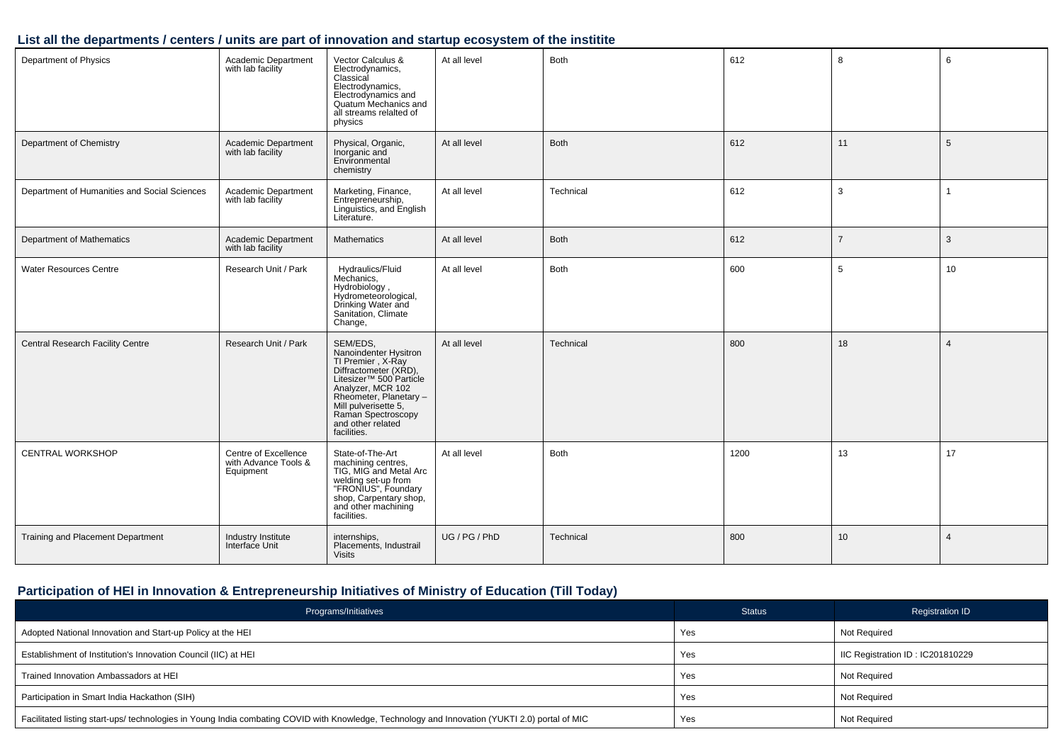#### **List all the departments / centers / units are part of innovation and startup ecosystem of the institite**

| Department of Physics                        | Academic Department<br>with lab facility                  | Vector Calculus &<br>Electrodynamics,<br>Classical<br>Electrodynamics,<br>Electrodynamics and<br>Quatum Mechanics and<br>all streams relalted of<br>physics                                                                                              | At all level  | <b>Both</b> | 612  | 8              | 6               |
|----------------------------------------------|-----------------------------------------------------------|----------------------------------------------------------------------------------------------------------------------------------------------------------------------------------------------------------------------------------------------------------|---------------|-------------|------|----------------|-----------------|
| Department of Chemistry                      | Academic Department<br>with lab facility                  | Physical, Organic,<br>Inorganic and<br>Environmental<br>chemistry                                                                                                                                                                                        | At all level  | Both        | 612  | 11             | $5\phantom{.0}$ |
| Department of Humanities and Social Sciences | Academic Department<br>with lab facility                  | Marketing, Finance,<br>Entrepreneurship,<br>Linguistics, and English<br>Literature.                                                                                                                                                                      | At all level  | Technical   | 612  | $\mathbf{3}$   |                 |
| Department of Mathematics                    | Academic Department<br>with lab facility                  | <b>Mathematics</b>                                                                                                                                                                                                                                       | At all level  | <b>Both</b> | 612  | $\overline{7}$ | 3               |
| <b>Water Resources Centre</b>                | Research Unit / Park                                      | Hydraulics/Fluid<br>Mechanics.<br>Hydrobiology,<br>Hydrometeorological,<br>Drinking Water and<br>Sanitation, Climate<br>Change,                                                                                                                          | At all level  | <b>Both</b> | 600  | 5              | 10              |
| Central Research Facility Centre             | Research Unit / Park                                      | SEM/EDS,<br>SLYWLDJ,<br>Nanoindenter Hysitron<br>TI Premier , X-Ray<br>Diffractometer (XRD),<br>Litesizer™ 500 Particle<br>Analyzer, MCR 102<br>Rheometer, Planetary -<br>Mill pulverisette 5,<br>Raman Spectroscopy<br>and other related<br>facilities. | At all level  | Technical   | 800  | 18             | $\overline{4}$  |
| <b>CENTRAL WORKSHOP</b>                      | Centre of Excellence<br>with Advance Tools &<br>Equipment | State-of-The-Art<br>machining centres,<br>TIG, MIG and Metal Arc<br>welding set-up from<br>"FRONIUS", Foundary<br>shop, Carpentary shop,<br>and other machining<br>facilities.                                                                           | At all level  | Both        | 1200 | 13             | 17              |
| Training and Placement Department            | Industry Institute<br>Interface Unit                      | internships,<br>Placements, Industrail<br><b>Visits</b>                                                                                                                                                                                                  | UG / PG / PhD | Technical   | 800  | 10             | $\overline{4}$  |

## **Participation of HEI in Innovation & Entrepreneurship Initiatives of Ministry of Education (Till Today)**

| Programs/Initiatives                                                                                                                           | <b>Status</b> | <b>Registration ID</b>           |
|------------------------------------------------------------------------------------------------------------------------------------------------|---------------|----------------------------------|
| Adopted National Innovation and Start-up Policy at the HEI                                                                                     | Yes           | <b>Not Required</b>              |
| Establishment of Institution's Innovation Council (IIC) at HEI                                                                                 | Yes           | IIC Registration ID: IC201810229 |
| Trained Innovation Ambassadors at HEI                                                                                                          | Yes           | <b>Not Required</b>              |
| Participation in Smart India Hackathon (SIH)                                                                                                   | Yes           | <b>Not Required</b>              |
| Facilitated listing start-ups/ technologies in Young India combating COVID with Knowledge, Technology and Innovation (YUKTI 2.0) portal of MIC | Yes           | <b>Not Required</b>              |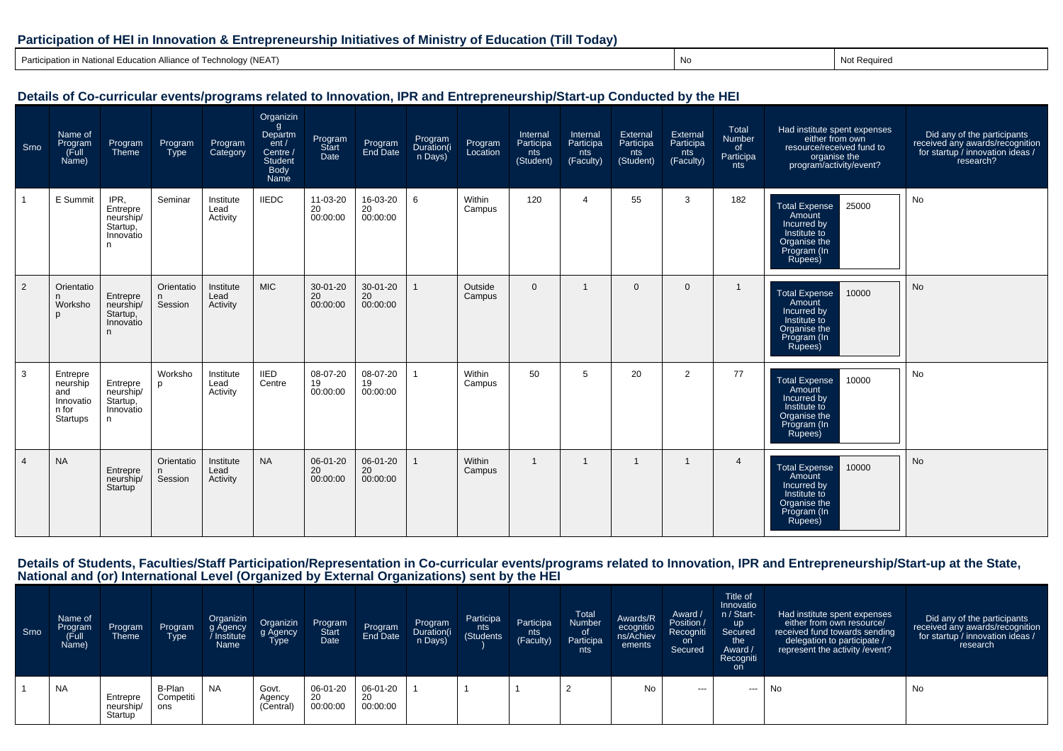#### **Participation of HEI in Innovation & Entrepreneurship Initiatives of Ministry of Education (Till Today)**

Participation in National Education Alliance of Technology (NEAT)) No. 2006 (No. 2016) No. 2016 (No. 2016) No. 2016 (No. 2016) No. 2016 12:20 No. 2017 No. 2017 No. 2017 No. 20

Notice and Not Required

### **Details of Co-curricular events/programs related to Innovation, IPR and Entrepreneurship/Start-up Conducted by the HEI**

| Srno           | Name of<br>Program<br>(Full<br>Name)                          | Program<br>Theme                                             | Program<br>Type       | Program<br>Category           | Organizin<br>g<br>Departm<br>ent/<br>Centre /<br><b>Student</b><br>Body<br>Name | Program<br>Start<br>Date   | Program<br>End Date        | Program<br>Duration(i<br>n Days) | Program<br>Location | Internal<br>Participa<br>nts<br>(Student) | Internal<br>Participa<br>nts<br>(Faculty) | External<br>Participa<br>nts<br>(Student) | External<br>Participa<br>nts<br>(Faculty) | Total<br>Number<br>of<br>Participa<br>nts | Had institute spent expenses<br>either from own<br>resource/received fund to<br>organise the<br>program/activity/event? | Did any of the participants<br>received any awards/recognition<br>for startup / innovation ideas /<br>research? |
|----------------|---------------------------------------------------------------|--------------------------------------------------------------|-----------------------|-------------------------------|---------------------------------------------------------------------------------|----------------------------|----------------------------|----------------------------------|---------------------|-------------------------------------------|-------------------------------------------|-------------------------------------------|-------------------------------------------|-------------------------------------------|-------------------------------------------------------------------------------------------------------------------------|-----------------------------------------------------------------------------------------------------------------|
|                | E Summit                                                      | IPR,<br>Entrepre<br>neurship/<br>Startup,<br>Innovatio<br>n. | Seminar               | Institute<br>Lead<br>Activity | <b>IIEDC</b>                                                                    | 11-03-20<br>20<br>00:00:00 | 16-03-20<br>20<br>00:00:00 | 6                                | Within<br>Campus    | 120                                       | $\overline{4}$                            | 55                                        | 3                                         | 182                                       | Total Expense<br>25000<br>Amount<br>Incurred by<br>Institute to<br>Organise the<br>Program (In<br>Rupees)               | No                                                                                                              |
| 2              | Orientatio<br>n<br>Worksho                                    | Entrepre<br>neurship/<br>Startup,<br>Innovatio<br>n.         | Orientatio<br>Session | Institute<br>Lead<br>Activity | <b>MIC</b>                                                                      | 30-01-20<br>20<br>00:00:00 | 30-01-20<br>20<br>00:00:00 | $\mathbf{1}$                     | Outside<br>Campus   | $\overline{0}$                            |                                           | $\mathbf{0}$                              | $\mathbf{0}$                              | $\mathbf{1}$                              | <b>Total Expense</b><br>10000<br>Amount<br>Incurred by<br>Institute to<br>Organise the<br>Program (In<br>Rupees)        | No                                                                                                              |
| 3              | Entrepre<br>neurship<br>and<br>Innovatio<br>n for<br>Startups | Entrepre<br>neurship/<br>Startup,<br>Innovatio<br>n.         | Worksho<br>p          | Institute<br>Lead<br>Activity | <b>IIED</b><br>Centre                                                           | 08-07-20<br>19<br>00:00:00 | 08-07-20<br>19<br>00:00:00 | -1                               | Within<br>Campus    | 50                                        | 5                                         | 20                                        | $\overline{2}$                            | 77                                        | <b>Total Expense</b><br>10000<br>Amount<br>Incurred by<br>Institute to<br>Organise the<br>Program (In<br>Rupees)        | No                                                                                                              |
| $\overline{4}$ | <b>NA</b>                                                     | Entrepre<br>neurship/<br>Startup                             | Orientatio<br>Session | Institute<br>Lead<br>Activity | <b>NA</b>                                                                       | 06-01-20<br>20<br>00:00:00 | 06-01-20<br>20<br>00:00:00 | $\mathbf{1}$                     | Within<br>Campus    | $\overline{1}$                            |                                           | $\mathbf 1$                               | $\mathbf 1$                               | $\overline{4}$                            | <b>Total Expense</b><br>10000<br>Amount<br>Incurred by<br>Institute to<br>Organise the<br>Program (In<br>Rupees)        | <b>No</b>                                                                                                       |

# Details of Students, Faculties/Staff Participation/Representation in Co-curricular events/programs related to Innovation, IPR and Entrepreneurship/Start-up at the State,<br>National and (or) International Level (Organized by

| Srno | Name of<br>Program<br>(Full<br>Name) | Program<br>Theme                 | Program<br>Type            | Organizin<br>g Agency<br>Institute<br>Name | Organizin<br>g Agency<br>Type | Program<br><b>Start</b><br>Date | Program<br>End Date        | Program<br>Duration(i<br>n Days) | Participa<br>nts<br>(Students) | Participa<br>nts<br>(Faculty) | Total<br>Number<br>Participa<br>nts | Awards/R<br>ecognitio<br>ns/Achiev<br>ements | Award /<br>Position /<br>Recogniti<br>on.<br>Secured | Title of<br>Innovatio<br>n / Start-<br>up<br>Secured<br>the<br>Award /<br>Recogniti<br>on. | Had institute spent expenses<br>either from own resource/<br>received fund towards sending<br>delegation to participate /<br>represent the activity / event? | Did any of the participants<br>received any awards/recognition<br>for startup / innovation ideas /<br>research |
|------|--------------------------------------|----------------------------------|----------------------------|--------------------------------------------|-------------------------------|---------------------------------|----------------------------|----------------------------------|--------------------------------|-------------------------------|-------------------------------------|----------------------------------------------|------------------------------------------------------|--------------------------------------------------------------------------------------------|--------------------------------------------------------------------------------------------------------------------------------------------------------------|----------------------------------------------------------------------------------------------------------------|
|      | <b>NA</b>                            | Entrepre<br>neurship/<br>Startup | B-Plan<br>Competiti<br>ons | <b>NA</b>                                  | Govt.<br>Agency<br>(Central   | 06-01-20<br>20<br>00:00:00      | 06-01-20<br>20<br>00:00:00 |                                  |                                |                               |                                     | No                                           | $- - -$                                              | ---                                                                                        | No                                                                                                                                                           | No                                                                                                             |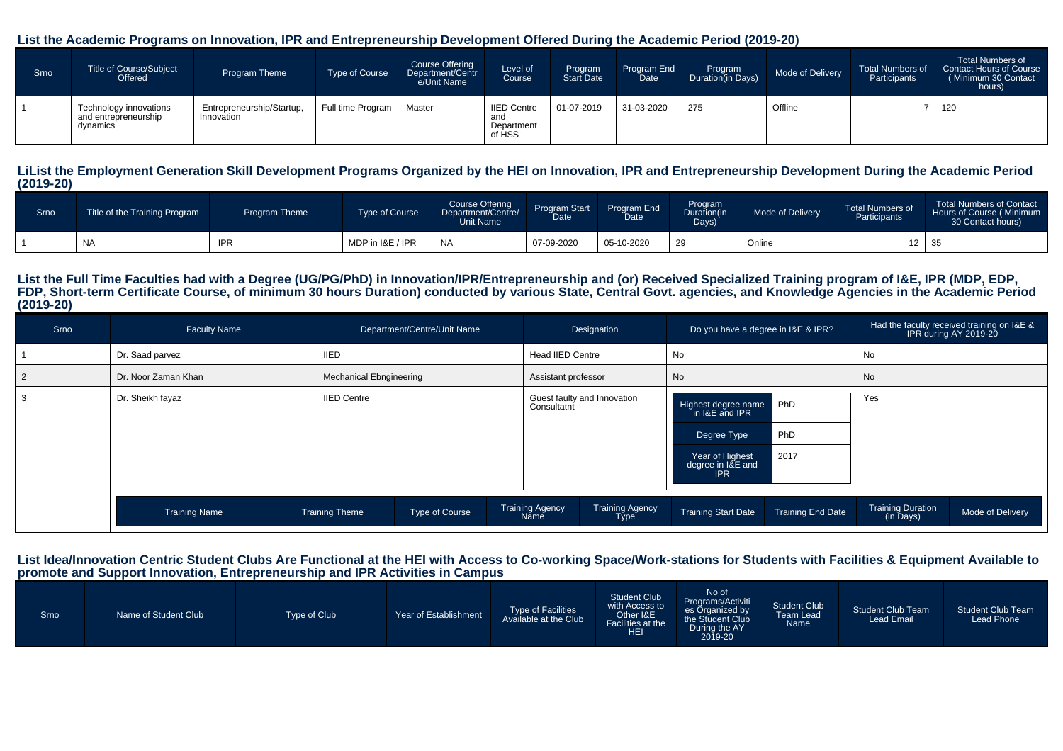#### **List the Academic Programs on Innovation, IPR and Entrepreneurship Development Offered During the Academic Period (2019-20)**

| Srno | Title of Course/Subject<br>Offered                         | Program Theme                           | <b>Type of Course</b> | <b>Course Offering</b><br>Department/Centr<br>e/Unit Name | Level of<br>Course                                | Program<br><b>Start Date</b> | Program End<br>Date | Program<br>Duration(in Days) | Mode of Delivery | <b>Total Numbers of</b><br>Participants | <b>Total Numbers of</b><br>Contact Hours of Course<br>(Minimum 30 Contact<br>hours) |
|------|------------------------------------------------------------|-----------------------------------------|-----------------------|-----------------------------------------------------------|---------------------------------------------------|------------------------------|---------------------|------------------------------|------------------|-----------------------------------------|-------------------------------------------------------------------------------------|
|      | Technology innovations<br>and entrepreneurship<br>dynamics | Entrepreneurship/Startup,<br>Innovation | Full time Program     | Master                                                    | <b>IIED Centre</b><br>and<br>Department<br>of HSS | 01-07-2019                   | 31-03-2020          | 275                          | Offline          |                                         | 120                                                                                 |

#### **LiList the Employment Generation Skill Development Programs Organized by the HEI on Innovation, IPR and Entrepreneurship Development During the Academic Period(2019-20)**

| Srno | Title of the Training Program | Program Theme | <b>Type of Course</b> | <b>Course Offering</b><br>Department/Centre/<br>Unit Name | <b>Program Start</b><br>$\zeta$ Date | Program End<br>Date | Program<br>Duration(in<br>Days) | Mode of Delivery | <b>Total Numbers of</b><br>Participants | <b>Total Numbers of Contact</b><br>Hours of Course (Minimum<br>30 Contact hours) |
|------|-------------------------------|---------------|-----------------------|-----------------------------------------------------------|--------------------------------------|---------------------|---------------------------------|------------------|-----------------------------------------|----------------------------------------------------------------------------------|
|      | <b>NA</b>                     | <b>IPR</b>    | MDP in I&E / IPR      | <b>NA</b>                                                 | 07-09-2020                           | 05-10-2020          | 29                              | Online           | 12                                      |                                                                                  |

#### **List the Full Time Faculties had with a Degree (UG/PG/PhD) in Innovation/IPR/Entrepreneurship and (or) Received Specialized Training program of I&E, IPR (MDP, EDP, FDP, Short-term Certificate Course, of minimum 30 hours Duration) conducted by various State, Central Govt. agencies, and Knowledge Agencies in the Academic Period(2019-20)**

| Srno | <b>Faculty Name</b>  | Department/Centre/Unit Name             | Designation                                                      | Do you have a degree in I&E & IPR?                                                                                      | Had the faculty received training on I&E &<br>IPR during AY 2019-20 |
|------|----------------------|-----------------------------------------|------------------------------------------------------------------|-------------------------------------------------------------------------------------------------------------------------|---------------------------------------------------------------------|
|      | Dr. Saad parvez      | <b>IIED</b>                             | Head IIED Centre                                                 | No                                                                                                                      | No                                                                  |
|      | Dr. Noor Zaman Khan  | <b>Mechanical Ebngineering</b>          | Assistant professor                                              | No                                                                                                                      | No                                                                  |
|      | Dr. Sheikh fayaz     | <b>IIED Centre</b>                      | Guest faulty and Innovation<br>Consultatnt                       | Highest degree name PhD<br>in I&E and IPR<br>PhD<br>Degree Type<br>2017<br>Year of Highest<br>degree in I&E and<br>IPR. | Yes                                                                 |
|      | <b>Training Name</b> | Type of Course<br><b>Training Theme</b> | <b>Training Agency</b><br><b>Training Agency</b><br>Name<br>Type | <b>Training End Date</b><br><b>Training Start Date</b>                                                                  | <b>Training Duration</b><br>Mode of Delivery<br>(in Days)           |

#### **List Idea/Innovation Centric Student Clubs Are Functional at the HEI with Access to Co-working Space/Work-stations for Students with Facilities & Equipment Available topromote and Support Innovation, Entrepreneurship and IPR Activities in Campus**

| Srno | Name of Student Club | Type of Club | Year of Establishment | Type of Facilities<br>Available at the Club | <b>Student Club</b><br>with Access to<br>Other I&E<br>Facilities at the<br><b>HEI</b> | No of<br>Programs/Activiti<br>es Organized by the Student Club<br>During the AY<br>2019-20 | <b>Student Club</b><br><b>Team Lead</b><br>Name | <b>Student Club Team</b><br><b>Lead Email</b> | <b>Student Club Team</b><br>Lead Phone |
|------|----------------------|--------------|-----------------------|---------------------------------------------|---------------------------------------------------------------------------------------|--------------------------------------------------------------------------------------------|-------------------------------------------------|-----------------------------------------------|----------------------------------------|
|------|----------------------|--------------|-----------------------|---------------------------------------------|---------------------------------------------------------------------------------------|--------------------------------------------------------------------------------------------|-------------------------------------------------|-----------------------------------------------|----------------------------------------|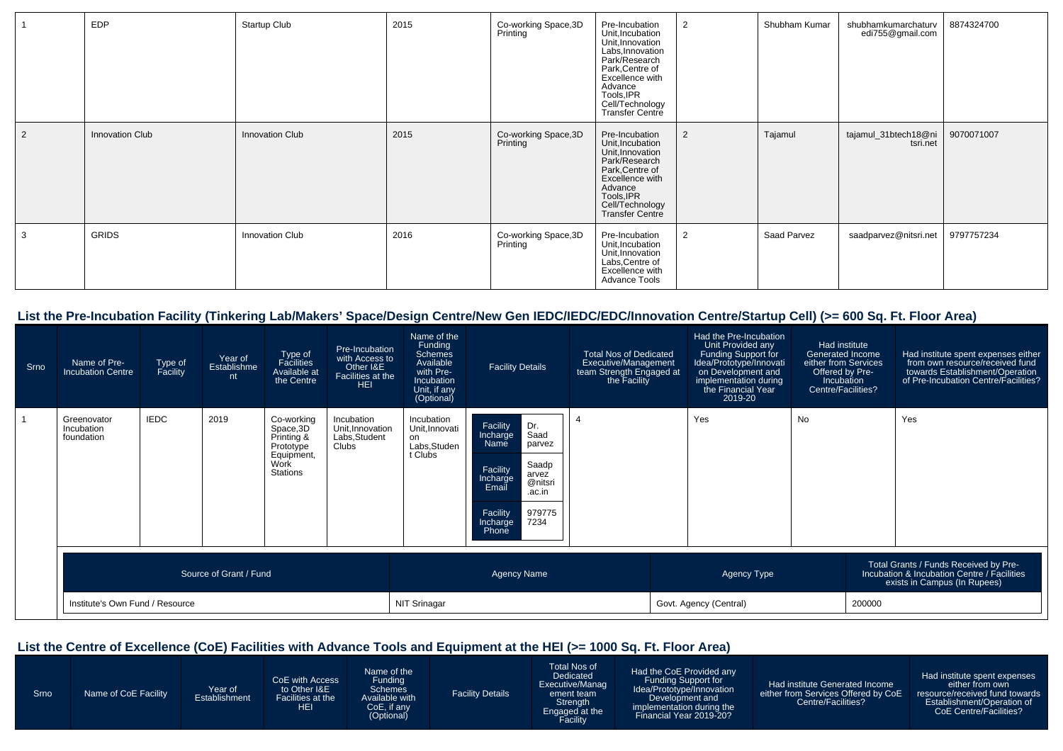|   | <b>EDP</b>      | Startup Club           | 2015 | Co-working Space,3D<br>Printing  | Pre-Incubation<br>Unit, Incubation<br>Unit, Innovation<br>Labs, Innovation<br>Park/Research<br>Park, Centre of<br>Excellence with<br>Advance<br>Tools, IPR<br>Cell/Technology<br>Transfer Centre | 2              | Shubham Kumar | shubhamkumarchaturv<br>edi755@gmail.com | 8874324700 |
|---|-----------------|------------------------|------|----------------------------------|--------------------------------------------------------------------------------------------------------------------------------------------------------------------------------------------------|----------------|---------------|-----------------------------------------|------------|
| 2 | Innovation Club | Innovation Club        | 2015 | Co-working Space, 3D<br>Printing | Pre-Incubation<br>Unit, Incubation<br>Unit, Innovation<br>Park/Research<br>Park, Centre of<br>Excellence with<br>Advance<br>Tools, IPR<br>Cell/Technology<br><b>Transfer Centre</b>              | 2              | Tajamul       | tajamul_31btech18@ni<br>tsri.net        | 9070071007 |
| 3 | <b>GRIDS</b>    | <b>Innovation Club</b> | 2016 | Co-working Space, 3D<br>Printing | Pre-Incubation<br>Unit, Incubation<br>Unit, Innovation<br>Labs, Centre of<br>Excellence with<br>Advance Tools                                                                                    | $\overline{2}$ | Saad Parvez   | saadparvez@nitsri.net                   | 9797757234 |

## **List the Pre-Incubation Facility (Tinkering Lab/Makers' Space/Design Centre/New Gen IEDC/IEDC/EDC/Innovation Centre/Startup Cell) (>= 600 Sq. Ft. Floor Area)**

| Srno | Name of Pre-<br>Incubation Centre       | Type of<br>Facility | Year of<br>Establishme<br>nt | Type of<br>Facilities<br>Available at<br>the Centre                                         | Pre-Incubation<br>with Access to<br>Other I&E<br>Facilities at the<br><b>HEI</b> | Name of the<br>Funding<br>Schemes<br>Available<br>with Pre-<br>Incubation<br>Unit, if any<br>(Optional) | <b>Facility Details</b>                                                                                                                                                          | <b>Total Nos of Dedicated</b><br>Executive/Management<br>team Strength Engaged at<br>the Facility | Had the Pre-Incubation<br>Unit Provided any<br>Funding Support for<br>Idea/Prototype/Innovati<br>on Development and<br>implementation during<br>the Financial Year<br>2019-20 |           | Had institute<br><b>Generated Income</b><br>either from Services<br>Offered by Pre-<br>Incubation<br>Centre/Facilities? | Had institute spent expenses either<br>from own resource/received fund<br>towards Establishment/Operation<br>of Pre-Incubation Centre/Facilities? |
|------|-----------------------------------------|---------------------|------------------------------|---------------------------------------------------------------------------------------------|----------------------------------------------------------------------------------|---------------------------------------------------------------------------------------------------------|----------------------------------------------------------------------------------------------------------------------------------------------------------------------------------|---------------------------------------------------------------------------------------------------|-------------------------------------------------------------------------------------------------------------------------------------------------------------------------------|-----------|-------------------------------------------------------------------------------------------------------------------------|---------------------------------------------------------------------------------------------------------------------------------------------------|
|      | Greenovator<br>Incubation<br>foundation | <b>IEDC</b>         | 2019                         | Co-working<br>Space, 3D<br>Printing &<br>Prototype<br>Equipment,<br>Work<br><b>Stations</b> | Incubation<br>Unit, Innovation<br>Labs, Student<br>Clubs                         | Incubation<br>Unit, Innovati<br>on<br>Labs, Studen<br>t Clubs                                           | Facility<br>Dr.<br>Saad<br>Incharge<br>Name<br>parvez<br>Saadp<br>Facility<br>arvez<br>Incharge<br>@nitsri<br>Email<br>.ac.in<br>979775<br>Facility<br>7234<br>Incharge<br>Phone |                                                                                                   | Yes                                                                                                                                                                           | <b>No</b> |                                                                                                                         | Yes                                                                                                                                               |
|      | Source of Grant / Fund                  |                     |                              |                                                                                             |                                                                                  | <b>Agency Name</b>                                                                                      |                                                                                                                                                                                  |                                                                                                   | Agency Type                                                                                                                                                                   |           | Total Grants / Funds Received by Pre-<br>Incubation & Incubation Centre / Facilities<br>exists in Campus (In Rupees)    |                                                                                                                                                   |
|      | Institute's Own Fund / Resource         |                     |                              |                                                                                             |                                                                                  | <b>NIT Srinagar</b>                                                                                     |                                                                                                                                                                                  |                                                                                                   | Govt. Agency (Central)                                                                                                                                                        |           | 200000                                                                                                                  |                                                                                                                                                   |

## **List the Centre of Excellence (CoE) Facilities with Advance Tools and Equipment at the HEI (>= 1000 Sq. Ft. Floor Area)**

| Srno | Name of CoE Facility | Year of<br>Establishment | CoE with Access<br>to Other I&E<br>Facilities at the<br>HEI | Name of the<br>Funding<br><b>Schemes</b><br>Available with<br>CoE, if any<br>(Optional) | <b>Facility Details</b> | Total Nos of<br>Dedicated<br>Executive/Manag<br>ement team<br>Strength<br>Engaged at the<br>Facility | Had the CoE Provided any<br><b>Funding Support for</b><br>Idea/Prototype/Innovation<br>Development and<br>implementation during the<br>Financial Year 2019-20? | Had institute Generated Income<br>either from Services Offered by CoE<br>Centre/Facilities? | Had institute spent expenses<br>either from own<br>resource/received fund towards<br>Establishment/Operation of<br>CoE Centre/Facilities? |
|------|----------------------|--------------------------|-------------------------------------------------------------|-----------------------------------------------------------------------------------------|-------------------------|------------------------------------------------------------------------------------------------------|----------------------------------------------------------------------------------------------------------------------------------------------------------------|---------------------------------------------------------------------------------------------|-------------------------------------------------------------------------------------------------------------------------------------------|
|------|----------------------|--------------------------|-------------------------------------------------------------|-----------------------------------------------------------------------------------------|-------------------------|------------------------------------------------------------------------------------------------------|----------------------------------------------------------------------------------------------------------------------------------------------------------------|---------------------------------------------------------------------------------------------|-------------------------------------------------------------------------------------------------------------------------------------------|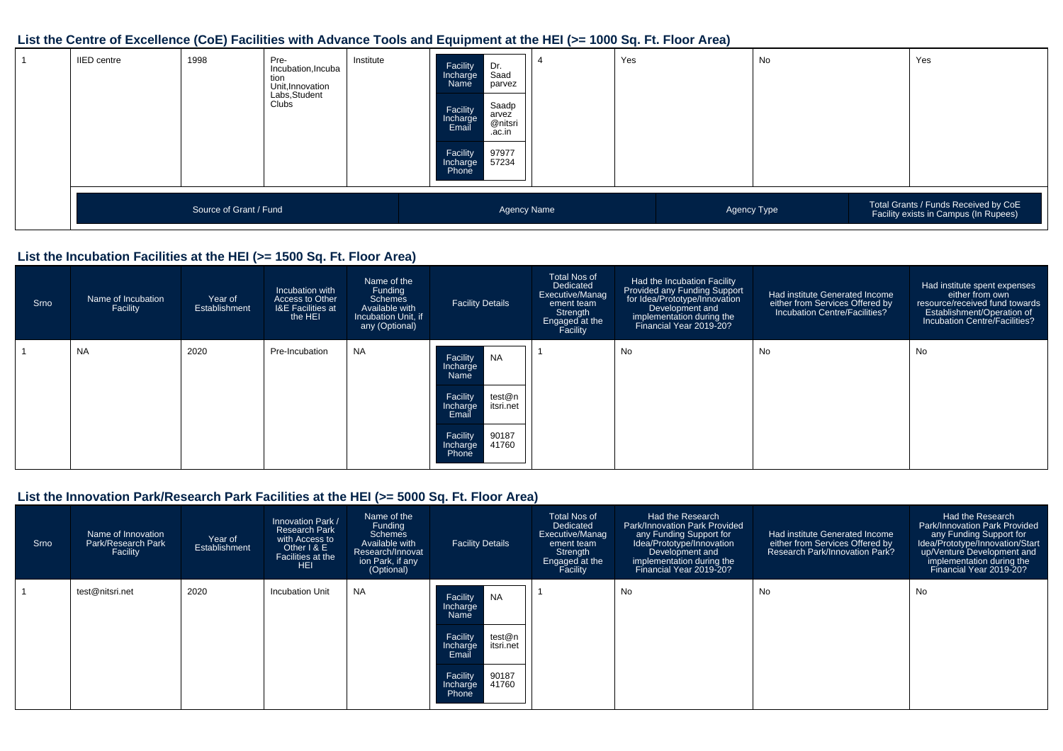## **List the Centre of Excellence (CoE) Facilities with Advance Tools and Equipment at the HEI (>= 1000 Sq. Ft. Floor Area)**

| <b>IIED</b> centre | 1998                   | Pre-<br>Incubation, Incuba<br>tion<br>Unit, Innovation<br>Labs, Student<br>Clubs | Institute | Facility<br>Incharge<br>Name<br>Facility<br>Incharge<br>Email<br>Facility<br>Incharge<br>Phone | Dr.<br>Saad<br>parvez<br>Saadp<br>arvez<br>@nitsri<br>.ac.in<br>97977<br>57234 | Yes | No          | Yes                                                                           |
|--------------------|------------------------|----------------------------------------------------------------------------------|-----------|------------------------------------------------------------------------------------------------|--------------------------------------------------------------------------------|-----|-------------|-------------------------------------------------------------------------------|
|                    | Source of Grant / Fund |                                                                                  |           |                                                                                                | Agency Name                                                                    |     | Agency Type | Total Grants / Funds Received by CoE<br>Facility exists in Campus (In Rupees) |

#### **List the Incubation Facilities at the HEI (>= 1500 Sq. Ft. Floor Area)**

| Srno | Name of Incubation<br>Facility | Year of<br>Establishment | Incubation with<br>Access to Other<br><b>I&amp;E Facilities at</b><br>the HEI | Name of the<br>Funding<br>Schemes<br>Available with<br>Incubation Unit, if<br>any (Optional) | <b>Facility Details</b>                                                                                                                       | <b>Total Nos of</b><br>Dedicated<br>Executive/Manag<br>ement team<br>Strength<br>Engaged at the<br>Facility | Had the Incubation Facility<br>Provided any Funding Support<br>for Idea/Prototype/Innovation<br>Development and<br>implementation during the<br>Financial Year 2019-20? | Had institute Generated Income<br>either from Services Offered by<br>Incubation Centre/Facilities? | Had institute spent expenses<br>either from own<br>resource/received fund towards<br>Establishment/Operation of<br>Incubation Centre/Facilities? |
|------|--------------------------------|--------------------------|-------------------------------------------------------------------------------|----------------------------------------------------------------------------------------------|-----------------------------------------------------------------------------------------------------------------------------------------------|-------------------------------------------------------------------------------------------------------------|-------------------------------------------------------------------------------------------------------------------------------------------------------------------------|----------------------------------------------------------------------------------------------------|--------------------------------------------------------------------------------------------------------------------------------------------------|
|      | <b>NA</b>                      | 2020                     | Pre-Incubation                                                                | <b>NA</b>                                                                                    | Facility<br>NA<br>Incharge<br>Name<br>Facility<br>test@n<br>itsri.net<br>Incharge<br>Email<br>Facility<br>90187<br>41760<br>Incharge<br>Phone |                                                                                                             | No                                                                                                                                                                      | No                                                                                                 | No                                                                                                                                               |

## **List the Innovation Park/Research Park Facilities at the HEI (>= 5000 Sq. Ft. Floor Area)**

| Srno | Name of Innovation<br>Park/Research Park<br>Facility | Year of<br>Establishment | Innovation Park /<br><b>Research Park</b><br>with Access to<br>Other I & E<br><b>Facilities at the</b><br><b>HEI</b> | Name of the<br>Funding<br>Schemes<br>Available with<br>Research/Innovat<br>ion Park, if any<br>(Optional) | <b>Facility Details</b>                                                                                                                              | <b>Total Nos of</b><br>Dedicated<br>Executive/Manag<br>ement team<br>Strength<br>Engaged at the<br>Facility | Had the Research<br><b>Park/Innovation Park Provided</b><br>any Funding Support for<br>Idea/Prototype/Innovation<br>Development and<br>implementation during the<br>Financial Year 2019-20? | Had institute Generated Income<br>either from Services Offered by<br><b>Research Park/Innovation Park?</b> | Had the Research<br><b>Park/Innovation Park Provided</b><br>any Funding Support for<br>Idea/Prototype/Innovation/Start<br>up/Venture Development and<br>implementation during the<br>Financial Year 2019-20? |
|------|------------------------------------------------------|--------------------------|----------------------------------------------------------------------------------------------------------------------|-----------------------------------------------------------------------------------------------------------|------------------------------------------------------------------------------------------------------------------------------------------------------|-------------------------------------------------------------------------------------------------------------|---------------------------------------------------------------------------------------------------------------------------------------------------------------------------------------------|------------------------------------------------------------------------------------------------------------|--------------------------------------------------------------------------------------------------------------------------------------------------------------------------------------------------------------|
|      | test@nitsri.net                                      | 2020                     | <b>Incubation Unit</b>                                                                                               | <b>NA</b>                                                                                                 | <b>NA</b><br>Facility<br>Incharge<br>Name<br>Facility<br>test@n<br>itsri.net<br>Incharge<br>Email<br>Facility<br>90187<br>41760<br>Incharge<br>Phone |                                                                                                             | No                                                                                                                                                                                          | No                                                                                                         | No                                                                                                                                                                                                           |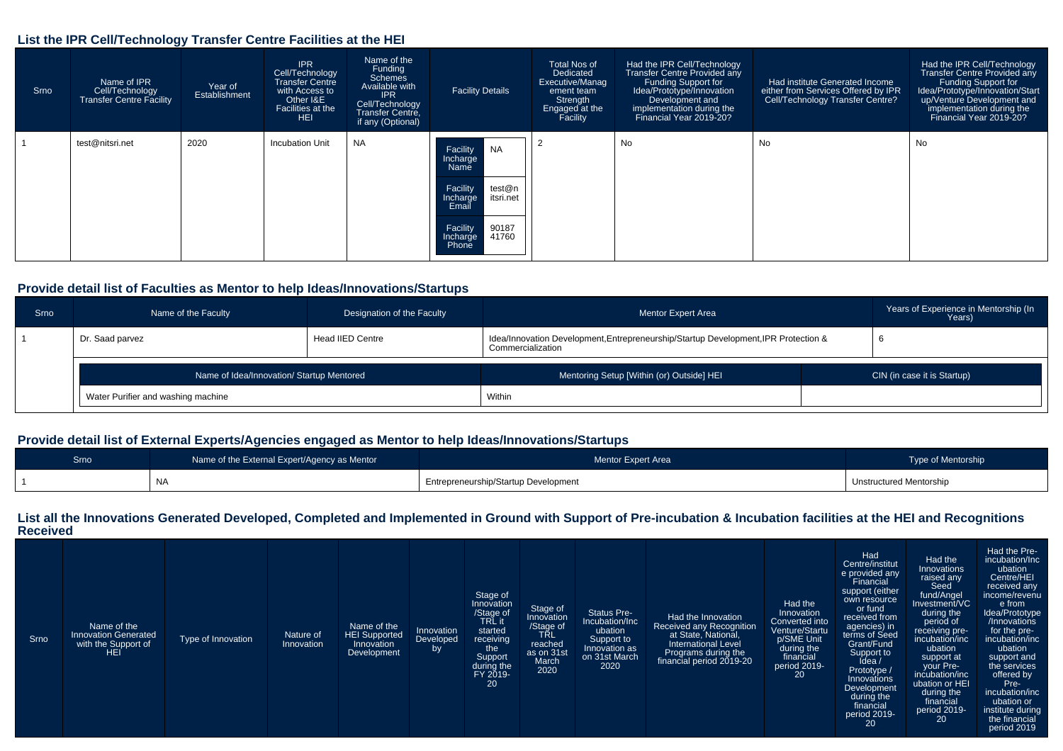#### **List the IPR Cell/Technology Transfer Centre Facilities at the HEI**

| Srno | Name of IPR<br>Cell/Technology<br><b>Transfer Centre Facility</b> | Year of<br>Establishment | <b>IPR</b><br>Cell/Technology<br><b>Transfer Centre</b><br>with Access to<br>Other I&E<br>Facilities at the<br><b>HEI</b> | Name of the<br>Funding<br>Schemes<br>Available with<br><b>IPR</b><br>Cell/Technology<br>Transfer Centre,<br>if any (Optional) | <b>Facility Details</b>                              | Total Nos of<br>Dedicated<br>Executive/Manag<br>ement team<br>Strength<br>Engaged at the<br>Facility | Had the IPR Cell/Technology<br>Transfer Centre Provided any<br>Funding Support for<br>Idea/Prototype/Innovation<br>Development and<br>implementation during the<br>Financial Year 2019-20? | Had institute Generated Income<br>either from Services Offered by IPR<br>Cell/Technology Transfer Centre? | Had the IPR Cell/Technology<br>Transfer Centre Provided any<br>Funding Support for<br>Idea/Prototype/Innovation/Start<br>up/Venture Development and<br>implementation during the<br>Financial Year 2019-20? |
|------|-------------------------------------------------------------------|--------------------------|---------------------------------------------------------------------------------------------------------------------------|-------------------------------------------------------------------------------------------------------------------------------|------------------------------------------------------|------------------------------------------------------------------------------------------------------|--------------------------------------------------------------------------------------------------------------------------------------------------------------------------------------------|-----------------------------------------------------------------------------------------------------------|-------------------------------------------------------------------------------------------------------------------------------------------------------------------------------------------------------------|
|      | test@nitsri.net                                                   | 2020                     | Incubation Unit                                                                                                           | <b>NA</b>                                                                                                                     | <b>NA</b><br>Facility<br>Incharge<br>Name            |                                                                                                      | No                                                                                                                                                                                         | No                                                                                                        | No                                                                                                                                                                                                          |
|      |                                                                   |                          |                                                                                                                           |                                                                                                                               | Facility<br>test@n<br>itsri.net<br>Incharge<br>Email |                                                                                                      |                                                                                                                                                                                            |                                                                                                           |                                                                                                                                                                                                             |
|      |                                                                   |                          |                                                                                                                           |                                                                                                                               | Facility<br>90187<br>41760<br>Incharge<br>Phone      |                                                                                                      |                                                                                                                                                                                            |                                                                                                           |                                                                                                                                                                                                             |

#### **Provide detail list of Faculties as Mentor to help Ideas/Innovations/Startups**

| Srno | Name of the Faculty                       | Designation of the Faculty | <b>Mentor Expert Area</b>                                                                                | Years of Experience in Mentorship (In<br>Years) |
|------|-------------------------------------------|----------------------------|----------------------------------------------------------------------------------------------------------|-------------------------------------------------|
|      | Dr. Saad parvez                           | Head IIED Centre           | Idea/Innovation Development, Entrepreneurship/Startup Development, IPR Protection &<br>Commercialization |                                                 |
|      | Name of Idea/Innovation/ Startup Mentored |                            | Mentoring Setup [Within (or) Outside] HEI                                                                | CIN (in case it is Startup)                     |
|      | Water Purifier and washing machine        |                            | Within                                                                                                   |                                                 |

## **Provide detail list of External Experts/Agencies engaged as Mentor to help Ideas/Innovations/Startups**

| Srno | Name of the External Expert/Agency as Mentor | Mentor Expert Area                   | Type of Mentorship      |
|------|----------------------------------------------|--------------------------------------|-------------------------|
|      | NA                                           | Entrepreneurship/Startup Development | Unstructured Mentorship |

#### **List all the Innovations Generated Developed, Completed and Implemented in Ground with Support of Pre-incubation & Incubation facilities at the HEI and RecognitionsReceived**

| Srno | Name of the<br><b>Innovation Generated</b><br>with the Support of<br><b>HEI</b> | Type of Innovation | Nature of<br>Innovation | Name of the<br><b>HEI Supported</b><br>Innovation<br>Development | Innovation<br>Developed<br>by | Stage of<br>Innovation<br>/Stage of<br>TRL it<br>started<br>receiving<br>the<br>Support<br>during the<br>FY 2019-<br>20 | Stage of<br>Innovation<br>/Stage of<br>TRL<br>reached<br>as on 31st<br>March<br>2020 | <b>Status Pre-</b><br>Incubation/Inc<br>ubation<br>Support to<br>Innovation as<br>on 31st March<br>2020 | Had the Innovation<br>Received any Recognition<br>at State, National,<br><b>International Level</b><br>Programs during the<br>financial period 2019-20 | Had the<br>Innovation<br>Converted into<br>Venture/Startu<br>p/SME Unit<br>during the<br>financial<br>period 2019-<br><b>20</b> | Had<br>Centre/institut<br>e provided any<br>Financial<br>support (either<br>own resource<br>or fund<br>received from<br>agencies) in<br>terms of Seed<br>Grant/Fund<br>Support to<br>Prototype /<br>Innovations<br>Development<br>during the<br>financial<br>period 2019- | Had the<br>Innovations<br>raised any<br>Seed<br>fund/Angel<br>Investment/VC<br>during the<br>period of<br>receiving pre-<br>incubation/inc<br>ubation<br>support at<br>your Pre-<br>incubation/inc<br>ubation or HEI<br>during the<br>financial<br>period 2019- | Had the Pre-<br>incubation/Inc<br>ubation<br>Centre/HEI<br>received any<br>income/revenu<br>e from<br>Idea/Prototype<br>/Innovations<br>for the pre-<br>incubation/inc<br>ubation<br>support and<br>the services<br>offered by<br>Pre-<br>incubation/inc<br>ubation or<br>institute during |
|------|---------------------------------------------------------------------------------|--------------------|-------------------------|------------------------------------------------------------------|-------------------------------|-------------------------------------------------------------------------------------------------------------------------|--------------------------------------------------------------------------------------|---------------------------------------------------------------------------------------------------------|--------------------------------------------------------------------------------------------------------------------------------------------------------|---------------------------------------------------------------------------------------------------------------------------------|---------------------------------------------------------------------------------------------------------------------------------------------------------------------------------------------------------------------------------------------------------------------------|-----------------------------------------------------------------------------------------------------------------------------------------------------------------------------------------------------------------------------------------------------------------|--------------------------------------------------------------------------------------------------------------------------------------------------------------------------------------------------------------------------------------------------------------------------------------------|
|      |                                                                                 |                    |                         |                                                                  |                               |                                                                                                                         |                                                                                      |                                                                                                         |                                                                                                                                                        |                                                                                                                                 | 20                                                                                                                                                                                                                                                                        | 20                                                                                                                                                                                                                                                              | the financial<br>period 2019                                                                                                                                                                                                                                                               |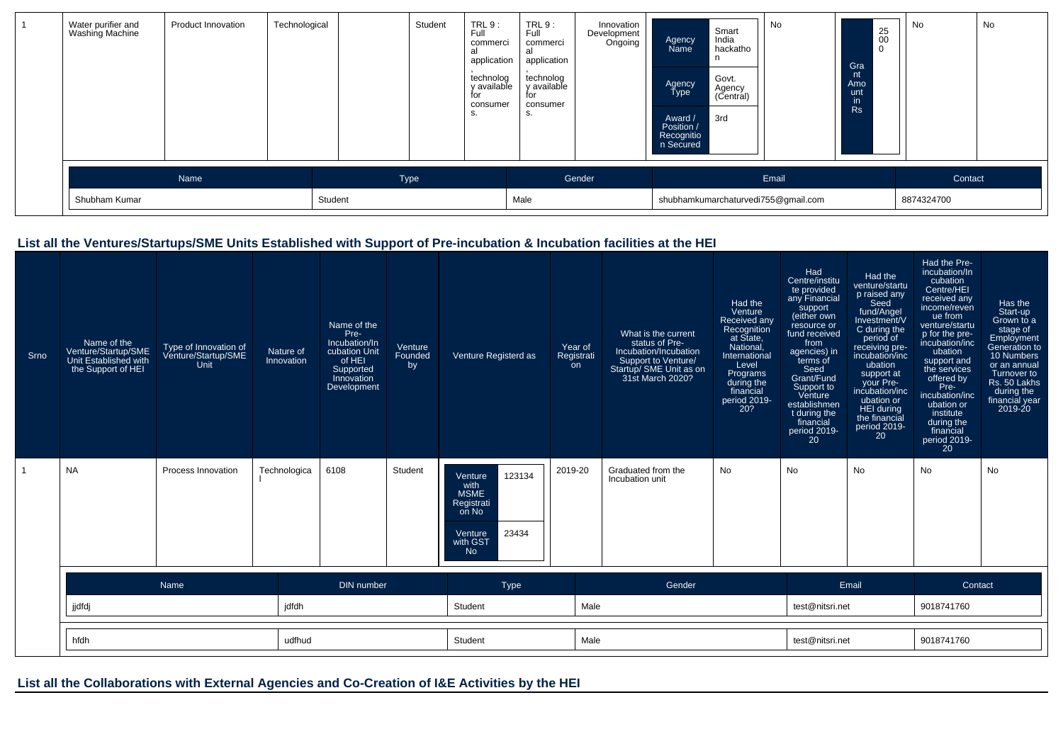| Water purifier and<br>Washing Machine | Product Innovation | Technological |         | Student | TRL 9:<br>Full<br>commerci<br>al<br>application<br>technolog<br>y available<br>for<br>consumer<br>S. | TRL9:<br>Full<br>commerci<br>al<br>application<br>technolog<br>y available<br>for<br>consumer<br>S. | Innovation<br>Development<br>Ongoing | Agency<br>Name<br>Agency<br>Type<br>Award /<br>Position /<br>Recognitio<br>n Secured | Smart<br>India<br>hackatho<br>Govt.<br>Agency<br>(Central)<br>3rd | No                                           | 25<br>00<br>$\overline{0}$<br>Gra<br>nt<br>Amo<br>unt<br>in.<br>Rs | No                    | No |
|---------------------------------------|--------------------|---------------|---------|---------|------------------------------------------------------------------------------------------------------|-----------------------------------------------------------------------------------------------------|--------------------------------------|--------------------------------------------------------------------------------------|-------------------------------------------------------------------|----------------------------------------------|--------------------------------------------------------------------|-----------------------|----|
| Shubham Kumar                         | Name               |               | Student | Type    |                                                                                                      | Male                                                                                                | Gender                               |                                                                                      |                                                                   | Email<br>shubhamkumarchaturvedi755@gmail.com |                                                                    | Contact<br>8874324700 |    |

## **List all the Ventures/Startups/SME Units Established with Support of Pre-incubation & Incubation facilities at the HEI**

| Srno | Name of the<br>Venture/Startup/SME<br>Unit Established with<br>the Support of HEI | Type of Innovation of<br>Venture/Startup/SME<br>Unit | Nature of<br>Innovation | Name of the<br>Pre-<br>Incubation/In<br>cubation Unit<br>of HEI<br>Supported<br>Innovation<br>Development | Venture<br>Founded<br>by | Venture Registerd as                                                                                         | Year of<br>Registrati<br><b>on</b> | What is the current<br>status of Pre-<br>Incubation/Incubation<br>Support to Venture/<br>Startup/ SME Unit as on<br>31st March 2020? | Had the<br>Venture<br>Received any<br>Recognition<br>at State,<br>National.<br>International<br>Level<br>Programs<br>during the<br>financial<br>period 2019-<br>20? | Had<br>Centre/institu<br>te provided<br>any Financial<br>support<br>(either own<br>resource or<br>fund received<br>from<br>agencies) in<br>terms of<br>Seed<br>Grant/Fund<br>Support to<br>Venture<br>establishmen<br>t during the<br>financial<br>period 2019-<br>20 | Had the<br>venture/startu<br>p raised any<br>Seed<br>fund/Angel<br>Investment/V<br>C during the<br>period of<br>receiving pre-<br>incubation/inc<br>ubation<br>support at<br>your Pre-<br>incubation/inc<br>ubation or<br>HEI during<br>the financial<br>period 2019-<br>20 | Had the Pre-<br>incubation/In<br>cubation<br>Centre/HEI<br>received any<br>income/reven<br>ue from<br>venture/startu<br>p for the pre-<br>incubation/inc<br>ubation<br>support and<br>the services<br>offered by<br>Pre-<br>incubation/inc<br>ubation or<br>institute<br>during the<br>financial<br>period 2019-<br>20 | Has the<br>Start-up<br>Grown to a<br>stage of<br>Employment<br>Generation to<br>10 Numbers<br>or an annual<br>Turnover to<br>Rs. 50 Lakhs<br>during the<br>financial year<br>2019-20 |
|------|-----------------------------------------------------------------------------------|------------------------------------------------------|-------------------------|-----------------------------------------------------------------------------------------------------------|--------------------------|--------------------------------------------------------------------------------------------------------------|------------------------------------|--------------------------------------------------------------------------------------------------------------------------------------|---------------------------------------------------------------------------------------------------------------------------------------------------------------------|-----------------------------------------------------------------------------------------------------------------------------------------------------------------------------------------------------------------------------------------------------------------------|-----------------------------------------------------------------------------------------------------------------------------------------------------------------------------------------------------------------------------------------------------------------------------|------------------------------------------------------------------------------------------------------------------------------------------------------------------------------------------------------------------------------------------------------------------------------------------------------------------------|--------------------------------------------------------------------------------------------------------------------------------------------------------------------------------------|
|      | <b>NA</b>                                                                         | Process Innovation                                   | Technologica            | 6108                                                                                                      | Student                  | 123134<br>Venture<br>with<br><b>MSME</b><br>Registrati<br>on No<br>23434<br>Venture<br>with GST<br><b>No</b> | 2019-20                            | Graduated from the<br>Incubation unit                                                                                                | No                                                                                                                                                                  | No                                                                                                                                                                                                                                                                    | <b>No</b>                                                                                                                                                                                                                                                                   | No                                                                                                                                                                                                                                                                                                                     | No                                                                                                                                                                                   |
|      |                                                                                   | Name                                                 |                         | DIN number                                                                                                |                          | Type                                                                                                         |                                    | Gender                                                                                                                               |                                                                                                                                                                     |                                                                                                                                                                                                                                                                       | Email                                                                                                                                                                                                                                                                       | Contact                                                                                                                                                                                                                                                                                                                |                                                                                                                                                                                      |
|      | jjdfdj                                                                            |                                                      | jdfdh                   |                                                                                                           |                          | Student                                                                                                      | Male                               |                                                                                                                                      |                                                                                                                                                                     | test@nitsri.net                                                                                                                                                                                                                                                       |                                                                                                                                                                                                                                                                             | 9018741760                                                                                                                                                                                                                                                                                                             |                                                                                                                                                                                      |
|      | hfdh                                                                              |                                                      | udfhud                  |                                                                                                           |                          | Student                                                                                                      | Male                               |                                                                                                                                      |                                                                                                                                                                     | test@nitsri.net                                                                                                                                                                                                                                                       |                                                                                                                                                                                                                                                                             | 9018741760                                                                                                                                                                                                                                                                                                             |                                                                                                                                                                                      |

**List all the Collaborations with External Agencies and Co-Creation of I&E Activities by the HEI**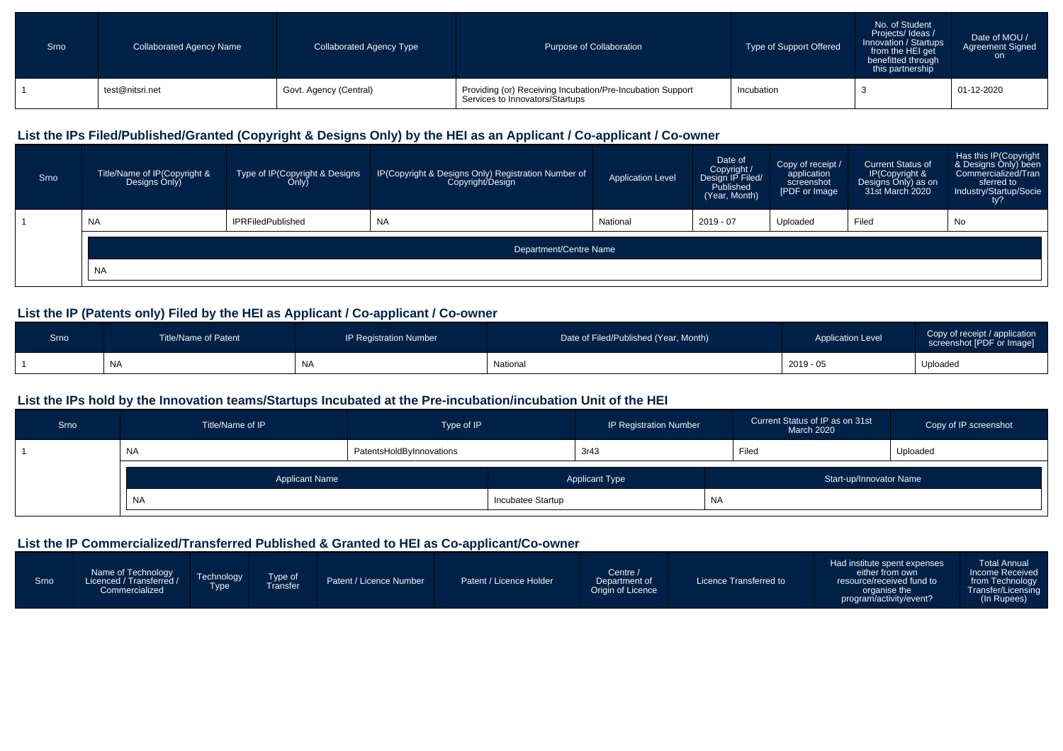| Srno | <b>Collaborated Agency Name</b> | <b>Collaborated Agency Type</b> | Purpose of Collaboration                                                                      | Type of Support Offered | No. of Student<br>Projects/Ideas/<br>Innovation / Startups<br>from the HEI get<br>benefitted through<br>this partnership | Date of MOU /<br><b>Agreement Signed</b><br>on |
|------|---------------------------------|---------------------------------|-----------------------------------------------------------------------------------------------|-------------------------|--------------------------------------------------------------------------------------------------------------------------|------------------------------------------------|
|      | test@nitsri.net                 | Govt. Agency (Central)          | Providing (or) Receiving Incubation/Pre-Incubation Support<br>Services to Innovators/Startups | Incubation              |                                                                                                                          | 01-12-2020                                     |

## **List the IPs Filed/Published/Granted (Copyright & Designs Only) by the HEI as an Applicant / Co-applicant / Co-owner**

| Srno | Title/Name of IP(Copyright &<br>Designs Only) | Type of IP(Copyright & Designs<br>Only) | IP(Copyright & Designs Only) Registration Number of<br>Copyright/Design | <b>Application Level</b> | Date of<br>Copyright /<br>Design IP Filed/<br>Published<br>(Year, Month) | Copy of receipt /<br>application<br>screenshot<br>[PDF or Image | Current Status of<br>IP(Copyright &<br>Designs Only) as on<br>31st March 2020 | Has this IP(Copyright<br>& Designs Only) been<br>Commercialized/Tran<br>sferred to<br>Industry/Startup/Socie |
|------|-----------------------------------------------|-----------------------------------------|-------------------------------------------------------------------------|--------------------------|--------------------------------------------------------------------------|-----------------------------------------------------------------|-------------------------------------------------------------------------------|--------------------------------------------------------------------------------------------------------------|
|      | <b>NA</b>                                     | <b>IPRFiledPublished</b>                | <b>NA</b>                                                               | National                 | 2019 - 07                                                                | Uploaded                                                        | Filed                                                                         | No                                                                                                           |
|      |                                               |                                         | Department/Centre Name                                                  |                          |                                                                          |                                                                 |                                                                               |                                                                                                              |
|      | <b>NA</b>                                     |                                         |                                                                         |                          |                                                                          |                                                                 |                                                                               |                                                                                                              |

## **List the IP (Patents only) Filed by the HEI as Applicant / Co-applicant / Co-owner**

| Srno | <b>Title/Name of Patent</b> | <b>IP Registration Number</b> | Date of Filed/Published (Year, Month) | <b>Application Level</b> | Copy of receipt / application<br>screenshot [PDF or Image] |
|------|-----------------------------|-------------------------------|---------------------------------------|--------------------------|------------------------------------------------------------|
|      | <b>NA</b>                   | N                             | National                              | 2019 - 05                | Uploaded                                                   |

#### **List the IPs hold by the Innovation teams/Startups Incubated at the Pre-incubation/incubation Unit of the HEI**

| Srno | Title/Name of IP      | Type of IP               |                                                  | <b>IP Registration Number</b> |  | Current Status of IP as on 31st<br>March 2020 | Copy of IP screenshot |  |
|------|-----------------------|--------------------------|--------------------------------------------------|-------------------------------|--|-----------------------------------------------|-----------------------|--|
|      | <b>NA</b>             | PatentsHoldByInnovations |                                                  | 3r43                          |  | Filed                                         | Uploaded              |  |
|      | <b>Applicant Name</b> |                          | <b>Applicant Type</b><br>Start-up/Innovator Name |                               |  |                                               |                       |  |
|      | N <sub>A</sub>        | Incubatee Startup        |                                                  | <b>NA</b>                     |  |                                               |                       |  |

## **List the IP Commercialized/Transferred Published & Granted to HEI as Co-applicant/Co-owner**

| Srno | Name of Technology<br>Licenced / Transferred /<br>Commercialized | Technology<br><b>Type</b> | Type of<br>Fransfer | Patent / Licence Number | Patent / Licence Holder | Centre /<br>Department of<br>Origin of Licence | Licence Transferred to | Had institute spent expenses<br>either from own<br>resource/received fund to<br>organise the<br>program/activity/event? | Total Annual<br>Income Received<br>from Technology<br>Transfer/Licensing<br>(In Rupees) |
|------|------------------------------------------------------------------|---------------------------|---------------------|-------------------------|-------------------------|------------------------------------------------|------------------------|-------------------------------------------------------------------------------------------------------------------------|-----------------------------------------------------------------------------------------|
|------|------------------------------------------------------------------|---------------------------|---------------------|-------------------------|-------------------------|------------------------------------------------|------------------------|-------------------------------------------------------------------------------------------------------------------------|-----------------------------------------------------------------------------------------|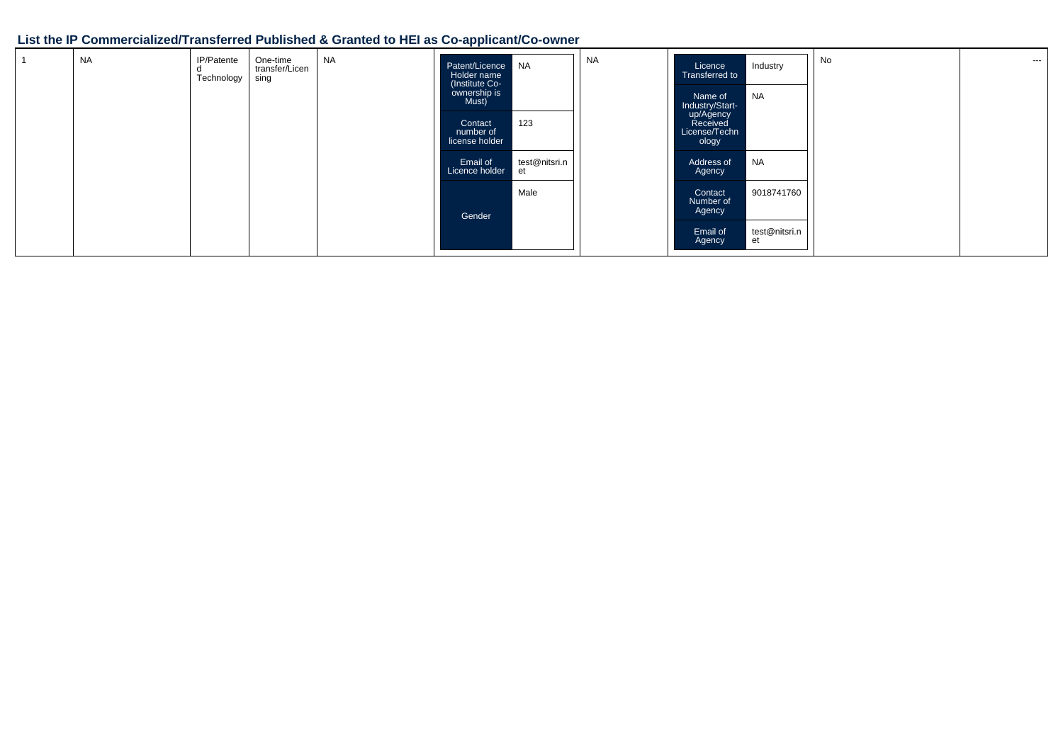## **List the IP Commercialized/Transferred Published & Granted to HEI as Co-applicant/Co-owner**

| <b>NA</b> | IP/Patente<br>Technology | One-time<br>transfer/Licen<br>sing | <b>NA</b> | Patent/Licence NA<br>Holder name<br>(Institute Co-<br>ownership is<br>Must)<br>Contact<br>number of<br>license holder | 123                 | <b>NA</b> | Licence<br>Transferred to<br>Name of<br>Industry/Start-<br>up/Agency<br>Received<br>License/Techn<br>ology | Industry<br>NA      | No | $- - -$ |
|-----------|--------------------------|------------------------------------|-----------|-----------------------------------------------------------------------------------------------------------------------|---------------------|-----------|------------------------------------------------------------------------------------------------------------|---------------------|----|---------|
|           |                          |                                    |           | Email of<br>Licence holder                                                                                            | test@nitsri.n<br>et |           | Address of<br>Agency                                                                                       | <b>NA</b>           |    |         |
|           |                          |                                    |           | Gender                                                                                                                | Male                |           | Contact<br>Number of<br>Agency                                                                             | 9018741760          |    |         |
|           |                          |                                    |           |                                                                                                                       |                     |           | Email of<br>Agency                                                                                         | test@nitsri.n<br>et |    |         |